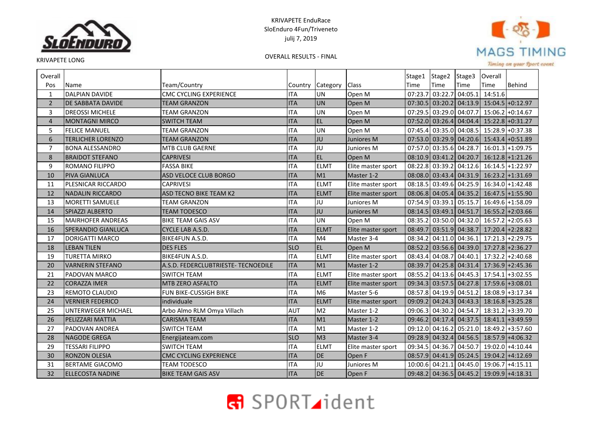



KRIVAPETE LONG

OVERALL RESULTS - FINAL

Timing on your Sport event

| Overall        |                           |                                     |            |                |                    | Stage1  | Stage2  | Stage3                  | Overall |                                           |
|----------------|---------------------------|-------------------------------------|------------|----------------|--------------------|---------|---------|-------------------------|---------|-------------------------------------------|
| Pos            | Name                      | Team/Country                        | Country    | Category       | <b>Class</b>       | Time    | Time    | Time                    | Time    | <b>Behind</b>                             |
| $\mathbf{1}$   | <b>DALPIAN DAVIDE</b>     | <b>CMC CYCLING EXPERIENCE</b>       | <b>ITA</b> | <b>UN</b>      | Open M             | 07:23.7 | 03:22.7 | 04:05.1                 | 14:51.6 |                                           |
| $\overline{2}$ | <b>DE SABBATA DAVIDE</b>  | <b>TEAM GRANZON</b>                 | <b>ITA</b> | UN             | Open M             |         |         | 07:30.5 03:20.2 04:13.9 |         | $15:04.5$ +0:12.97                        |
| 3              | <b>DREOSSI MICHELE</b>    | TEAM GRANZON                        | <b>ITA</b> | <b>UN</b>      | Open M             | 07:29.5 |         | 03:29.0 04:07.7         |         | $15:06.2 + 0:14.67$                       |
| $\overline{4}$ | <b>MONTAGNI MIRCO</b>     | <b>SWITCH TEAM</b>                  | <b>ITA</b> | EL             | Open M             |         |         | 07:52.0 03:26.4 04:04.4 |         | $15:22.8 + 0:31.27$                       |
| 5              | <b>FELICE MANUEL</b>      | TEAM GRANZON                        | <b>ITA</b> | <b>UN</b>      | Open M             | 07:45.4 |         | 03:35.0 04:08.5         |         | 15:28.9 + 0:37.38                         |
| 6              | <b>TERLICHER LORENZO</b>  | <b>TEAM GRANZON</b>                 | <b>ITA</b> | JU             | Juniores M         |         |         | 07:53.0 03:29.9 04:20.6 |         | $15:43.4$ +0:51.89                        |
| $\overline{7}$ | <b>BONA ALESSANDRO</b>    | MTB CLUB GAERNE                     | <b>ITA</b> | JU             | Juniores M         |         |         |                         |         | 07:57.0 03:35.6 04:28.7 16:01.3 + 1:09.75 |
| 8              | <b>BRAIDOT STEFANO</b>    | <b>CAPRIVESI</b>                    | <b>ITA</b> | EL             | Open M             |         |         | 08:10.9 03:41.2 04:20.7 |         | $16:12.8$ +1:21.26                        |
| 9              | <b>ROMANO FILIPPO</b>     | <b>FASSA BIKE</b>                   | <b>ITA</b> | <b>ELMT</b>    | Elite master sport | 08:22.8 |         | 03:39.2 04:12.6         |         | 16:14.5 + 1:22.97                         |
| 10             | <b>PIVA GIANLUCA</b>      | <b>ASD VELOCE CLUB BORGO</b>        | <b>ITA</b> | M1             | Master 1-2         |         |         | 08:08.0 03:43.4 04:31.9 |         | $16:23.2$ +1:31.69                        |
| 11             | PLESNICAR RICCARDO        | <b>CAPRIVESI</b>                    | <b>ITA</b> | <b>ELMT</b>    | Elite master sport |         |         | 08:18.5 03:49.6 04:25.9 |         | $16:34.0$ +1:42.48                        |
| 12             | <b>NADALIN RICCARDO</b>   | <b>ASD TECNO BIKE TEAM K2</b>       | <b>ITA</b> | <b>ELMT</b>    | Elite master sport |         |         | 08:06.8 04:05.4 04:35.2 |         | $16:47.5$ +1:55.90                        |
| 13             | <b>MORETTI SAMUELE</b>    | TEAM GRANZON                        | <b>ITA</b> | JU             | Juniores M         |         |         | 07:54.9 03:39.1 05:15.7 |         | 16:49.6 +1:58.09                          |
| 14             | <b>SPIAZZI ALBERTO</b>    | <b>TEAM TODESCO</b>                 | <b>ITA</b> | JU             | Juniores M         |         |         | 08:14.5 03:49.1 04:51.7 |         | $16:55.2$ +2:03.66                        |
| 15             | <b>MAIRHOFER ANDREAS</b>  | <b>BIKE TEAM GAIS ASV</b>           | <b>ITA</b> | <b>UN</b>      | Open M             | 08:35.2 |         | 03:50.0 04:32.0         |         | $16:57.2$ + 2:05.63                       |
| 16             | <b>SPERANDIO GIANLUCA</b> | CYCLE LAB A.S.D.                    | <b>ITA</b> | <b>ELMT</b>    | Elite master sport |         |         | 08:49.7 03:51.9 04:38.7 |         | $17:20.4$ +2:28.82                        |
| 17             | <b>DORIGATTI MARCO</b>    | BIKE4FUN A.S.D.                     | <b>ITA</b> | M4             | Master 3-4         | 08:34.2 |         | 04:11.0 04:36.1         |         | $17:21.3$ +2:29.75                        |
| 18             | <b>LEBAN TILEN</b>        | <b>DES FLES</b>                     | <b>SLO</b> | <b>EL</b>      | Open M             |         |         | 08:52.2 03:56.6 04:39.0 |         | $17:27.8$ +2:36.27                        |
| 19             | <b>TURETTA MIRKO</b>      | <b>BIKE4FUN A.S.D.</b>              | <b>ITA</b> | <b>ELMT</b>    | Elite master sport | 08:43.4 |         | 04:08.7 04:40.1         |         | $17:32.2 + 2:40.68$                       |
| 20             | <b>VARNERIN STEFANO</b>   | A.S.D. FEDERCLUBTRIESTE- TECNOEDILE | <b>ITA</b> | M1             | Master 1-2         |         |         | 08:39.7 04:25.8 04:31.4 |         | $17:36.9$ +2:45.36                        |
| 21             | PADOVAN MARCO             | <b>SWITCH TEAM</b>                  | <b>ITA</b> | <b>ELMT</b>    | Elite master sport | 08:55.2 |         | 04:13.6 04:45.3         |         | $17:54.1$ + 3:02.55                       |
| 22             | <b>CORAZZA IMER</b>       | MTB ZERO ASFALTO                    | <b>ITA</b> | <b>ELMT</b>    | Elite master sport |         |         |                         |         | 09:34.3 03:57.5 04:27.8 17:59.6 + 3:08.01 |
| 23             | <b>REMOTO CLAUDIO</b>     | FUN BIKE-CUSSIGH BIKE               | <b>ITA</b> | M6             | Master 5-6         |         |         | 08:57.8 04:19.9 04:51.2 |         | 18:08.9 + 3:17.34                         |
| 24             | <b>VERNIER FEDERICO</b>   | individuale                         | <b>ITA</b> | <b>ELMT</b>    | Elite master sport |         |         | 09:09.2 04:24.3 04:43.3 |         | $18:16.8$ +3:25.28                        |
| 25             | <b>UNTERWEGER MICHAEL</b> | Arbo Almo RLM Omya Villach          | <b>AUT</b> | M <sub>2</sub> | Master 1-2         | 09:06.3 |         | 04:30.2 04:54.7         |         | 18:31.2 + 3:39.70                         |
| 26             | PELIZZARI MATTIA          | <b>CARISMA TEAM</b>                 | <b>ITA</b> | M1             | Master 1-2         |         |         | 09:46.2 04:17.4 04:37.5 |         | $18:41.1$ + 3:49.59                       |
| 27             | <b>PADOVAN ANDREA</b>     | <b>SWITCH TEAM</b>                  | <b>ITA</b> | M1             | Master 1-2         |         |         | 09:12.0 04:16.2 05:21.0 |         | 18:49.2 + 3:57.60                         |
| 28             | <b>NAGODE GREGA</b>       | Energijateam.com                    | <b>SLO</b> | M <sub>3</sub> | Master 3-4         |         |         | 09:28.9 04:32.4 04:56.5 |         | $18:57.9$ +4:06.32                        |
| 29             | <b>TESSARI FILIPPO</b>    | <b>SWITCH TEAM</b>                  | <b>ITA</b> | <b>ELMT</b>    | Elite master sport | 09:34.5 |         | 04:36.7 04:50.7         |         | 19:02.0 +4:10.44                          |
| 30             | <b>RONZON OLESIA</b>      | <b>CMC CYCLING EXPERIENCE</b>       | <b>ITA</b> | DE             | Open F             |         |         | 08:57.9 04:41.9 05:24.5 |         | $19:04.2$ +4:12.69                        |
| 31             | <b>BERTAME GIACOMO</b>    | <b>TEAM TODESCO</b>                 | <b>ITA</b> | JU             | Juniores M         | 10:00.6 | 04:21.1 | 04:45.0                 |         | $19:06.7$ +4:15.11                        |
| 32             | <b>ELLECOSTA NADINE</b>   | <b>BIKE TEAM GAIS ASV</b>           | <b>ITA</b> | <b>DE</b>      | Open F             |         |         |                         |         | 09:48.2 04:36.5 04:45.2 19:09.9 +4:18.31  |